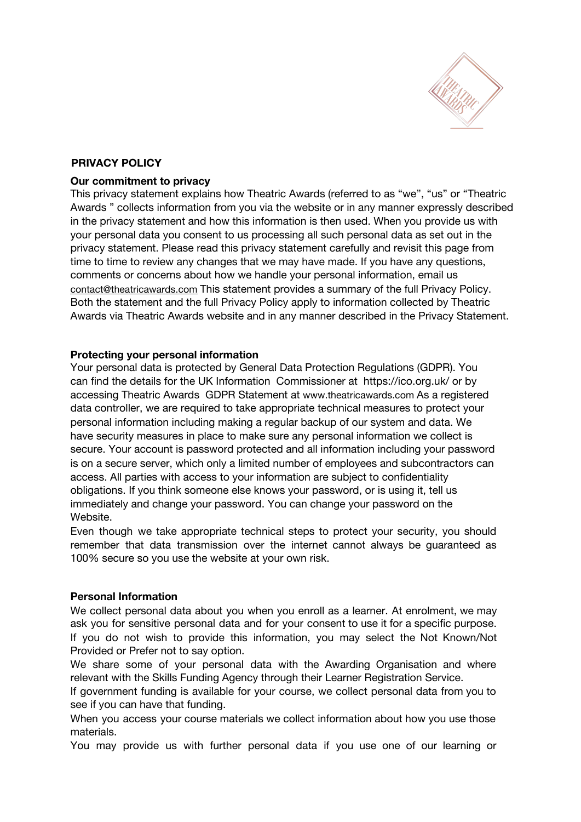

# **PRIVACY POLICY**

#### **Our commitment to privacy**

This privacy statement explains how Theatric Awards (referred to as "we", "us" or "Theatric Awards " collects information from you via the website or in any manner expressly described in the privacy statement and how this information is then used. When you provide us with your personal data you consent to us processing all such personal data as set out in the privacy statement. Please read this privacy statement carefully and revisit this page from time to time to review any changes that we may have made. If you have any questions, comments or concerns about how we handle your personal information, email us [contact@theatricawards.com](mailto:contact@theatricawards.com) This statement provides a summary of the full Privacy Policy. Both the statement and the full Privacy Policy apply to information collected by Theatric Awards via Theatric Awards website and in any manner described in the Privacy Statement.

### **Protecting your personal information**

Your personal data is protected by General Data Protection Regulations (GDPR). You can find the details for the UK Information Commissioner at https://ico.org.uk/ or by accessing Theatric Awards GDPR Statement at www.theatricawards.com As a registered data controller, we are required to take appropriate technical measures to protect your personal information including making a regular backup of our system and data. We have security measures in place to make sure any personal information we collect is secure. Your account is password protected and all information including your password is on a secure server, which only a limited number of employees and subcontractors can access. All parties with access to your information are subject to confidentiality obligations. If you think someone else knows your password, or is using it, tell us immediately and change your password. You can change your password on the Website.

Even though we take appropriate technical steps to protect your security, you should remember that data transmission over the internet cannot always be guaranteed as 100% secure so you use the website at your own risk.

# **Personal Information**

We collect personal data about you when you enroll as a learner. At enrolment, we may ask you for sensitive personal data and for your consent to use it for a specific purpose. If you do not wish to provide this information, you may select the Not Known/Not Provided or Prefer not to say option.

We share some of your personal data with the Awarding Organisation and where relevant with the Skills Funding Agency through their Learner Registration Service.

If government funding is available for your course, we collect personal data from you to see if you can have that funding.

When you access your course materials we collect information about how you use those materials.

You may provide us with further personal data if you use one of our learning or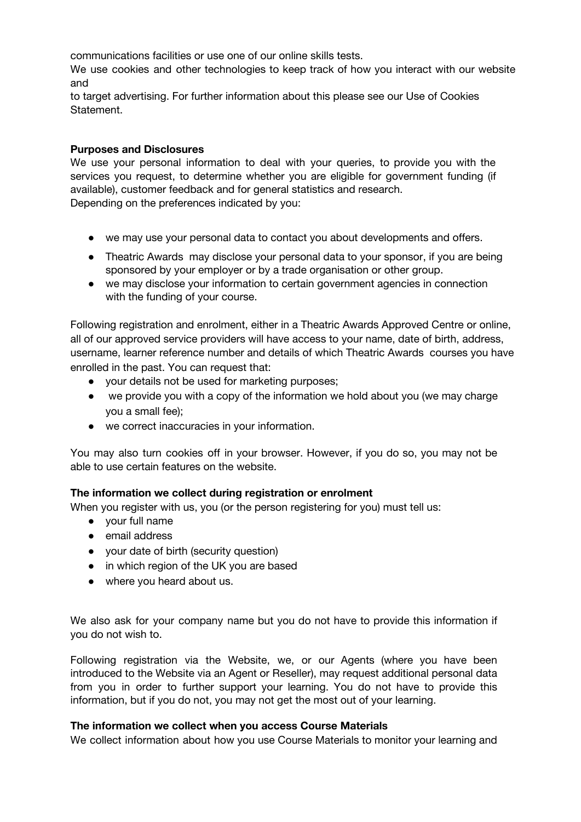communications facilities or use one of our online skills tests.

We use cookies and other technologies to keep track of how you interact with our website and

to target advertising. For further information about this please see our Use of Cookies Statement.

# **Purposes and Disclosures**

We use your personal information to deal with your queries, to provide you with the services you request, to determine whether you are eligible for government funding (if available), customer feedback and for general statistics and research.

Depending on the preferences indicated by you:

- we may use your personal data to contact you about developments and offers.
- Theatric Awards may disclose your personal data to your sponsor, if you are being sponsored by your employer or by a trade organisation or other group.
- we may disclose your information to certain government agencies in connection with the funding of your course.

Following registration and enrolment, either in a Theatric Awards Approved Centre or online, all of our approved service providers will have access to your name, date of birth, address, username, learner reference number and details of which Theatric Awards courses you have enrolled in the past. You can request that:

- your details not be used for marketing purposes;
- we provide you with a copy of the information we hold about you (we may charge you a small fee);
- we correct inaccuracies in your information.

You may also turn cookies off in your browser. However, if you do so, you may not be able to use certain features on the website.

### **The information we collect during registration or enrolment**

When you register with us, you (or the person registering for you) must tell us:

- your full name
- email address
- your date of birth (security question)
- in which region of the UK you are based
- where you heard about us.

We also ask for your company name but you do not have to provide this information if you do not wish to.

Following registration via the Website, we, or our Agents (where you have been introduced to the Website via an Agent or Reseller), may request additional personal data from you in order to further support your learning. You do not have to provide this information, but if you do not, you may not get the most out of your learning.

### **The information we collect when you access Course Materials**

We collect information about how you use Course Materials to monitor your learning and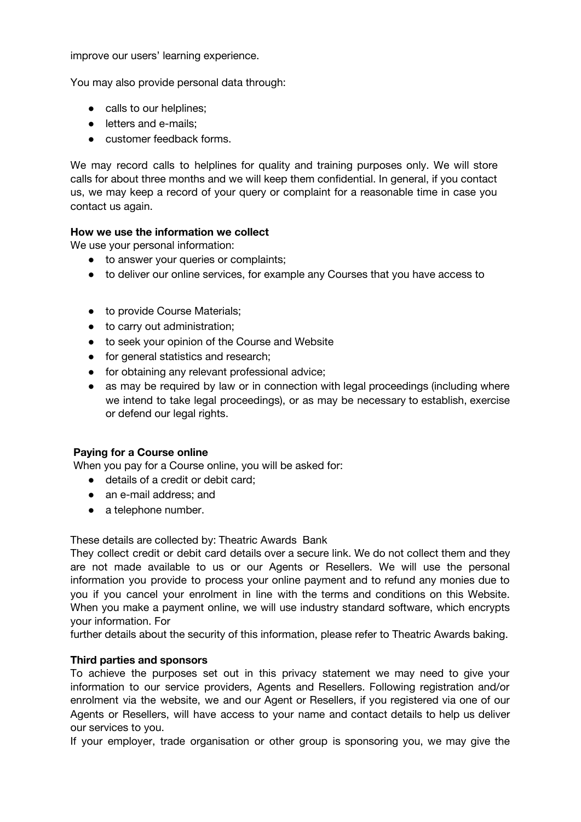improve our users' learning experience.

You may also provide personal data through:

- calls to our helplines;
- letters and e-mails:
- customer feedback forms.

We may record calls to helplines for quality and training purposes only. We will store calls for about three months and we will keep them confidential. In general, if you contact us, we may keep a record of your query or complaint for a reasonable time in case you contact us again.

### **How we use the information we collect**

We use your personal information:

- to answer your queries or complaints;
- to deliver our online services, for example any Courses that you have access to
- to provide Course Materials;
- to carry out administration;
- to seek your opinion of the Course and Website
- for general statistics and research;
- for obtaining any relevant professional advice;
- as may be required by law or in connection with legal proceedings (including where we intend to take legal proceedings), or as may be necessary to establish, exercise or defend our legal rights.

### **Paying for a Course online**

When you pay for a Course online, you will be asked for:

- details of a credit or debit card;
- an e-mail address; and
- a telephone number.

These details are collected by: Theatric Awards Bank

They collect credit or debit card details over a secure link. We do not collect them and they are not made available to us or our Agents or Resellers. We will use the personal information you provide to process your online payment and to refund any monies due to you if you cancel your enrolment in line with the terms and conditions on this Website. When you make a payment online, we will use industry standard software, which encrypts your information. For

further details about the security of this information, please refer to Theatric Awards baking.

#### **Third parties and sponsors**

To achieve the purposes set out in this privacy statement we may need to give your information to our service providers, Agents and Resellers. Following registration and/or enrolment via the website, we and our Agent or Resellers, if you registered via one of our Agents or Resellers, will have access to your name and contact details to help us deliver our services to you.

If your employer, trade organisation or other group is sponsoring you, we may give the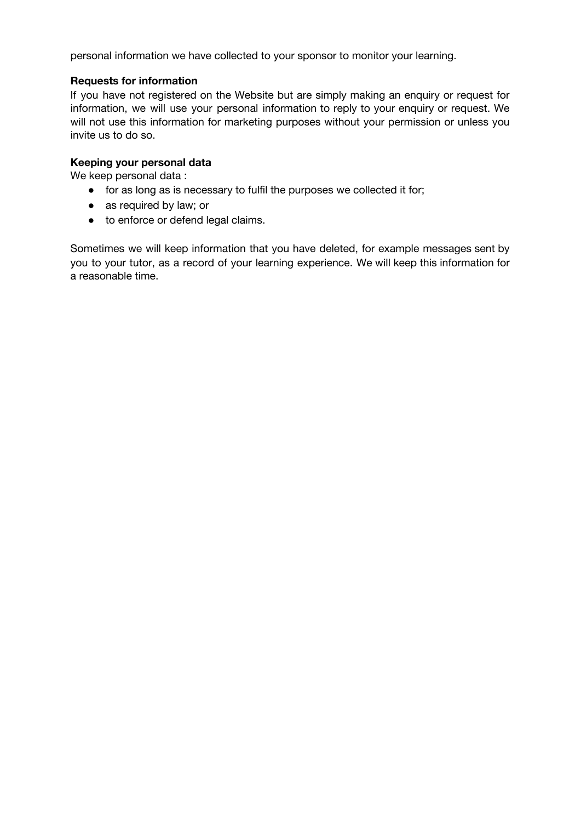personal information we have collected to your sponsor to monitor your learning.

# **Requests for information**

If you have not registered on the Website but are simply making an enquiry or request for information, we will use your personal information to reply to your enquiry or request. We will not use this information for marketing purposes without your permission or unless you invite us to do so.

# **Keeping your personal data**

We keep personal data :

- for as long as is necessary to fulfil the purposes we collected it for;
- as required by law; or
- to enforce or defend legal claims.

Sometimes we will keep information that you have deleted, for example messages sent by you to your tutor, as a record of your learning experience. We will keep this information for a reasonable time.